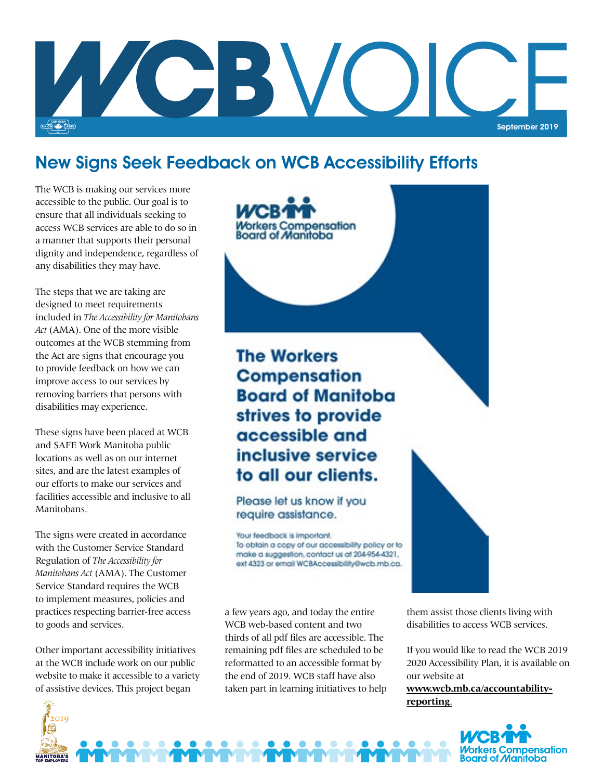

## New Signs Seek Feedback on WCB Accessibility Efforts

The WCB is making our services more accessible to the public. Our goal is to ensure that all individuals seeking to access WCB services are able to do so in a manner that supports their personal dignity and independence, regardless of any disabilities they may have.

disabilities may experience. The steps that we are taking are designed to meet requirements included in *The Accessibility for Manitobans Act* (AMA). One of the more visible outcomes at the WCB stemming from the Act are signs that encourage you to provide feedback on how we can improve access to our services by removing barriers that persons with

These signs have been placed at WCB and SAFE Work Manitoba public locations as well as on our internet sites, and are the latest examples of our efforts to make our services and facilities accessible and inclusive to all Manitobans.

The signs were created in accordance with the Customer Service Standard Regulation of *The Accessibility for Manitobans Act* (AMA). The Customer Service Standard requires the WCB to implement measures, policies and practices respecting barrier-free access to goods and services.

Other important accessibility initiatives at the WCB include work on our public website to make it accessible to a variety of assistive devices. This project began

 $20IQ$ 

**MANITOBA'S** 



Please let us know if you require assistance.

Your feedback is important. To obtain a copy of our accessibility policy or to make a suggestion, contact us at 204-954-4321, ext 4323 or email WCBAccessibility@wcb.mb.ca.

a few years ago, and today the entire WCB web-based content and two thirds of all pdf files are accessible. The remaining pdf files are scheduled to be reformatted to an accessible format by the end of 2019. WCB staff have also taken part in learning initiatives to help them assist those clients living with disabilities to access WCB services.

If you would like to read the WCB 2019 2020 Accessibility Plan, it is available on our website at

**[www.wcb.mb.ca/accountability](http://www.wcb.mb.ca/accountability-reporting)[reporting](http://www.wcb.mb.ca/accountability-reporting)**.